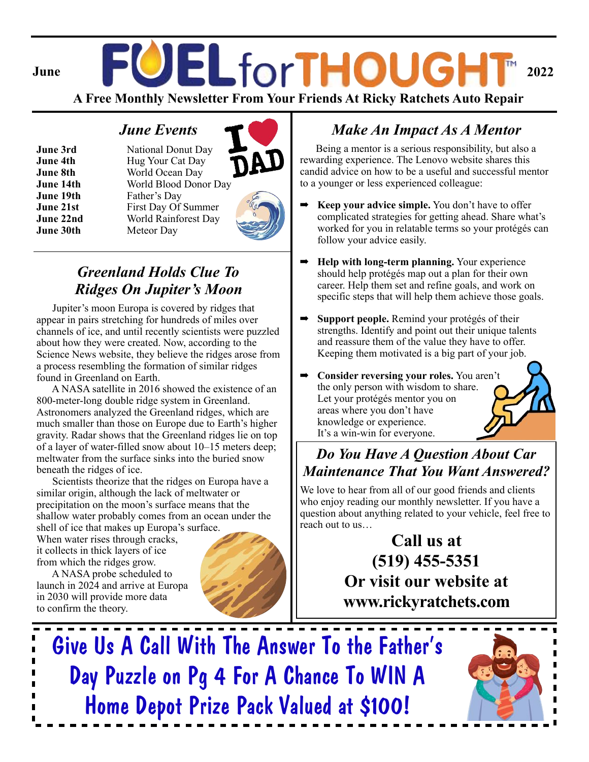# **June FOEL for THOUGHT** 2022

**A Free Monthly Newsletter From Your Friends At Ricky Ratchets Auto Repair**

#### *June Events*

**June 3rd** National Donut Day **June 4th** Hug Your Cat Day **June 8th** World Ocean Day **June 14th** World Blood Donor Day **June 19th** Father's Day **June 21st** First Day Of Summer **June 22nd** World Rainforest Day **June 30th** Meteor Day



## *Greenland Holds Clue To Ridges On Jupiter's Moon*

 Jupiter's moon Europa is covered by ridges that appear in pairs stretching for hundreds of miles over channels of ice, and until recently scientists were puzzled about how they were created. Now, according to the Science News website, they believe the ridges arose from a process resembling the formation of similar ridges found in Greenland on Earth.

 A NASA satellite in 2016 showed the existence of an 800-meter-long double ridge system in Greenland. Astronomers analyzed the Greenland ridges, which are much smaller than those on Europe due to Earth's higher gravity. Radar shows that the Greenland ridges lie on top of a layer of water-filled snow about 10–15 meters deep; meltwater from the surface sinks into the buried snow beneath the ridges of ice.

 Scientists theorize that the ridges on Europa have a similar origin, although the lack of meltwater or precipitation on the moon's surface means that the shallow water probably comes from an ocean under the shell of ice that makes up Europa's surface.

When water rises through cracks, it collects in thick layers of ice from which the ridges grow.

 A NASA probe scheduled to launch in 2024 and arrive at Europa in 2030 will provide more data to confirm the theory.

 $\blacksquare$ 



## *Make An Impact As A Mentor*

 Being a mentor is a serious responsibility, but also a rewarding experience. The Lenovo website shares this candid advice on how to be a useful and successful mentor to a younger or less experienced colleague:

- **Keep your advice simple.** You don't have to offer complicated strategies for getting ahead. Share what's worked for you in relatable terms so your protégés can follow your advice easily.
- ➡ **Help with long-term planning.** Your experience should help protégés map out a plan for their own career. Help them set and refine goals, and work on specific steps that will help them achieve those goals.
- ➡ **Support people.** Remind your protégés of their strengths. Identify and point out their unique talents and reassure them of the value they have to offer. Keeping them motivated is a big part of your job.
- ➡ **Consider reversing your roles.** You aren't the only person with wisdom to share. Let your protégés mentor you on areas where you don't have knowledge or experience. It's a win-win for everyone.



## *Do You Have A Question About Car Maintenance That You Want Answered?*

We love to hear from all of our good friends and clients who enjoy reading our monthly newsletter. If you have a question about anything related to your vehicle, feel free to reach out to us…

## **Call us at (519) 455-5351 Or visit our website at www.rickyratchets.com**

Give Us A Call With The Answer To the Father's Day Puzzle on Pg 4 For A Chance To WIN A Home Depot Prize Pack Valued at \$100!

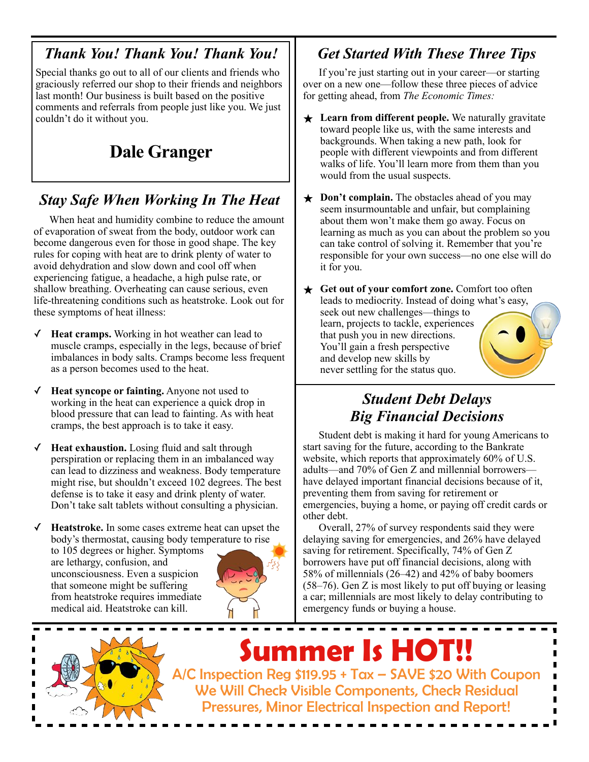#### *Thank You! Thank You! Thank You!*

Special thanks go out to all of our clients and friends who graciously referred our shop to their friends and neighbors last month! Our business is built based on the positive comments and referrals from people just like you. We just couldn't do it without you.

## **Dale Granger**

## *Stay Safe When Working In The Heat*

 When heat and humidity combine to reduce the amount of evaporation of sweat from the body, outdoor work can become dangerous even for those in good shape. The key rules for coping with heat are to drink plenty of water to avoid dehydration and slow down and cool off when experiencing fatigue, a headache, a high pulse rate, or shallow breathing. Overheating can cause serious, even life-threatening conditions such as heatstroke. Look out for these symptoms of heat illness:

- ✓ **Heat cramps.** Working in hot weather can lead to muscle cramps, especially in the legs, because of brief imbalances in body salts. Cramps become less frequent as a person becomes used to the heat.
- Heat syncope or fainting. Anyone not used to working in the heat can experience a quick drop in blood pressure that can lead to fainting. As with heat cramps, the best approach is to take it easy.
- **Heat exhaustion.** Losing fluid and salt through perspiration or replacing them in an imbalanced way can lead to dizziness and weakness. Body temperature might rise, but shouldn't exceed 102 degrees. The best defense is to take it easy and drink plenty of water. Don't take salt tablets without consulting a physician.

✓ **Heatstroke.** In some cases extreme heat can upset the body's thermostat, causing body temperature to rise to 105 degrees or higher. Symptoms are lethargy, confusion, and unconsciousness. Even a suspicion that someone might be suffering from heatstroke requires immediate medical aid. Heatstroke can kill.



## *Get Started With These Three Tips*

 If you're just starting out in your career—or starting over on a new one—follow these three pieces of advice for getting ahead, from *The Economic Times:* 

- **★** Learn from different people. We naturally gravitate toward people like us, with the same interests and backgrounds. When taking a new path, look for people with different viewpoints and from different walks of life. You'll learn more from them than you would from the usual suspects.
- **★ Don't complain.** The obstacles ahead of you may seem insurmountable and unfair, but complaining about them won't make them go away. Focus on learning as much as you can about the problem so you can take control of solving it. Remember that you're responsible for your own success—no one else will do it for you.

★ **Get out of your comfort zone.** Comfort too often leads to mediocrity. Instead of doing what's easy, seek out new challenges—things to learn, projects to tackle, experiences that push you in new directions. You'll gain a fresh perspective and develop new skills by never settling for the status quo.

#### *Student Debt Delays Big Financial Decisions*

 Student debt is making it hard for young Americans to start saving for the future, according to the Bankrate website, which reports that approximately 60% of U.S. adults—and 70% of Gen Z and millennial borrowers have delayed important financial decisions because of it, preventing them from saving for retirement or emergencies, buying a home, or paying off credit cards or other debt.

 Overall, 27% of survey respondents said they were delaying saving for emergencies, and 26% have delayed saving for retirement. Specifically, 74% of Gen Z borrowers have put off financial decisions, along with 58% of millennials (26–42) and 42% of baby boomers (58–76). Gen Z is most likely to put off buying or leasing a car; millennials are most likely to delay contributing to emergency funds or buying a house.



A/C Inspection Reg \$119.95 + Tax – SAVE \$20 With Coupon We Will Check Visible Components, Check Residual Pressures, Minor Electrical Inspection and Report! **Summer Is HOT!!**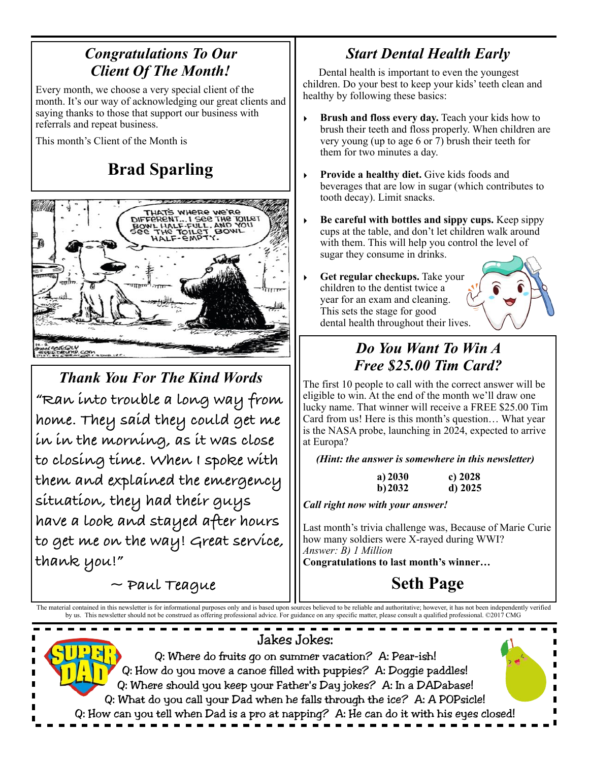#### *Congratulations To Our Client Of The Month!*

Every month, we choose a very special client of the month. It's our way of acknowledging our great clients and saying thanks to those that support our business with referrals and repeat business.

This month's Client of the Month is

# **Brad Sparling**



*Thank You For The Kind Words*  **"Ran into trouble a long way from home. They said they could get me in in the morning, as it was close to closing time. When I spoke with them and explained the emergency situation, they had their guys have a look and stayed after hours to get me on the way! Great service, thank you!"** 

 **~ Paul Teague** 

## *Start Dental Health Early*

 Dental health is important to even the youngest children. Do your best to keep your kids' teeth clean and healthy by following these basics:

- Brush and floss every day. Teach your kids how to brush their teeth and floss properly. When children are very young (up to age 6 or 7) brush their teeth for them for two minutes a day.
- Provide a healthy diet. Give kids foods and beverages that are low in sugar (which contributes to tooth decay). Limit snacks.
- ‣ **Be careful with bottles and sippy cups.** Keep sippy cups at the table, and don't let children walk around with them. This will help you control the level of sugar they consume in drinks.
- **Get regular checkups.** Take your children to the dentist twice a year for an exam and cleaning. This sets the stage for good dental health throughout their lives.



## *Do You Want To Win A Free \$25.00 Tim Card?*

The first 10 people to call with the correct answer will be eligible to win. At the end of the month we'll draw one lucky name. That winner will receive a FREE \$25.00 Tim Card from us! Here is this month's question… What year is the NASA probe, launching in 2024, expected to arrive at Europa?

*(Hint: the answer is somewhere in this newsletter)* 

| a) 2030 | c) $2028$ |
|---------|-----------|
| b) 2032 | $d)$ 2025 |

*Call right now with your answer!* 

Last month's trivia challenge was, Because of Marie Curie how many soldiers were X-rayed during WWI? *Answer: B) 1 Million* **Congratulations to last month's winner…** 

**Seth Page**

The material contained in this newsletter is for informational purposes only and is based upon sources believed to be reliable and authoritative; however, it has not been independently verified by us. This newsletter should not be construed as offering professional advice. For guidance on any specific matter, please consult a qualified professional. ©2017 CMG